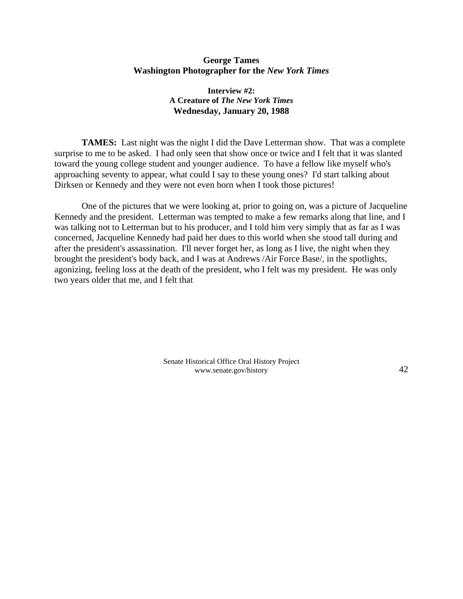## **George Tames Washington Photographer for the** *New York Times*

## **Interview #2: A Creature of** *The New York Times* **Wednesday, January 20, 1988**

**TAMES:** Last night was the night I did the Dave Letterman show. That was a complete surprise to me to be asked. I had only seen that show once or twice and I felt that it was slanted toward the young college student and younger audience. To have a fellow like myself who's approaching seventy to appear, what could I say to these young ones? I'd start talking about Dirksen or Kennedy and they were not even born when I took those pictures!

One of the pictures that we were looking at, prior to going on, was a picture of Jacqueline Kennedy and the president. Letterman was tempted to make a few remarks along that line, and I was talking not to Letterman but to his producer, and I told him very simply that as far as I was concerned, Jacqueline Kennedy had paid her dues to this world when she stood tall during and after the president's assassination. I'll never forget her, as long as I live, the night when they brought the president's body back, and I was at Andrews /Air Force Base/, in the spotlights, agonizing, feeling loss at the death of the president, who I felt was my president. He was only two years older that me, and I felt that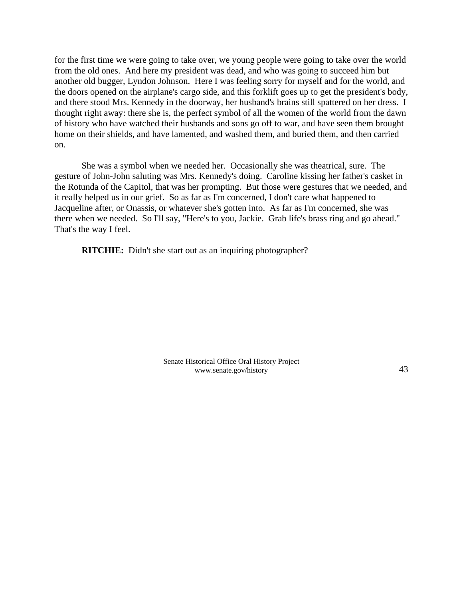for the first time we were going to take over, we young people were going to take over the world from the old ones. And here my president was dead, and who was going to succeed him but another old bugger, Lyndon Johnson. Here I was feeling sorry for myself and for the world, and the doors opened on the airplane's cargo side, and this forklift goes up to get the president's body, and there stood Mrs. Kennedy in the doorway, her husband's brains still spattered on her dress. I thought right away: there she is, the perfect symbol of all the women of the world from the dawn of history who have watched their husbands and sons go off to war, and have seen them brought home on their shields, and have lamented, and washed them, and buried them, and then carried on.

She was a symbol when we needed her. Occasionally she was theatrical, sure. The gesture of John-John saluting was Mrs. Kennedy's doing. Caroline kissing her father's casket in the Rotunda of the Capitol, that was her prompting. But those were gestures that we needed, and it really helped us in our grief. So as far as I'm concerned, I don't care what happened to Jacqueline after, or Onassis, or whatever she's gotten into. As far as I'm concerned, she was there when we needed. So I'll say, "Here's to you, Jackie. Grab life's brass ring and go ahead." That's the way I feel.

**RITCHIE:** Didn't she start out as an inquiring photographer?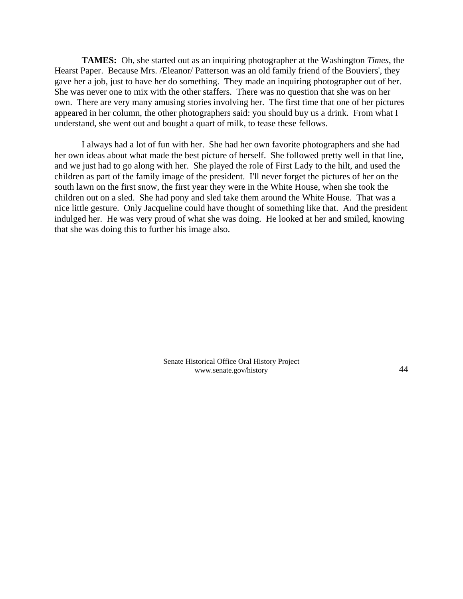**TAMES:** Oh, she started out as an inquiring photographer at the Washington *Times*, the Hearst Paper. Because Mrs. /Eleanor/ Patterson was an old family friend of the Bouviers', they gave her a job, just to have her do something. They made an inquiring photographer out of her. She was never one to mix with the other staffers. There was no question that she was on her own. There are very many amusing stories involving her. The first time that one of her pictures appeared in her column, the other photographers said: you should buy us a drink. From what I understand, she went out and bought a quart of milk, to tease these fellows.

I always had a lot of fun with her. She had her own favorite photographers and she had her own ideas about what made the best picture of herself. She followed pretty well in that line, and we just had to go along with her. She played the role of First Lady to the hilt, and used the children as part of the family image of the president. I'll never forget the pictures of her on the south lawn on the first snow, the first year they were in the White House, when she took the children out on a sled. She had pony and sled take them around the White House. That was a nice little gesture. Only Jacqueline could have thought of something like that. And the president indulged her. He was very proud of what she was doing. He looked at her and smiled, knowing that she was doing this to further his image also.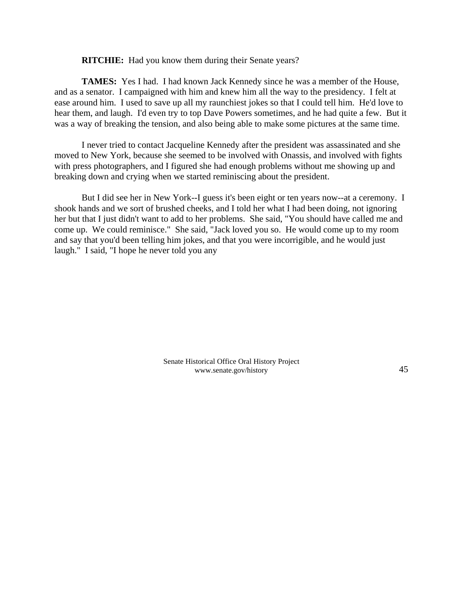**RITCHIE:** Had you know them during their Senate years?

**TAMES:** Yes I had. I had known Jack Kennedy since he was a member of the House, and as a senator. I campaigned with him and knew him all the way to the presidency. I felt at ease around him. I used to save up all my raunchiest jokes so that I could tell him. He'd love to hear them, and laugh. I'd even try to top Dave Powers sometimes, and he had quite a few. But it was a way of breaking the tension, and also being able to make some pictures at the same time.

I never tried to contact Jacqueline Kennedy after the president was assassinated and she moved to New York, because she seemed to be involved with Onassis, and involved with fights with press photographers, and I figured she had enough problems without me showing up and breaking down and crying when we started reminiscing about the president.

But I did see her in New York--I guess it's been eight or ten years now--at a ceremony. I shook hands and we sort of brushed cheeks, and I told her what I had been doing, not ignoring her but that I just didn't want to add to her problems. She said, "You should have called me and come up. We could reminisce." She said, "Jack loved you so. He would come up to my room and say that you'd been telling him jokes, and that you were incorrigible, and he would just laugh." I said, "I hope he never told you any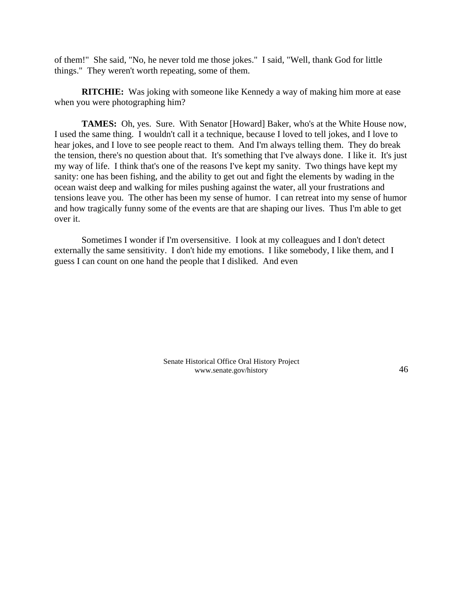of them!" She said, "No, he never told me those jokes." I said, "Well, thank God for little things." They weren't worth repeating, some of them.

**RITCHIE:** Was joking with someone like Kennedy a way of making him more at ease when you were photographing him?

**TAMES:** Oh, yes. Sure. With Senator [Howard] Baker, who's at the White House now, I used the same thing. I wouldn't call it a technique, because I loved to tell jokes, and I love to hear jokes, and I love to see people react to them. And I'm always telling them. They do break the tension, there's no question about that. It's something that I've always done. I like it. It's just my way of life. I think that's one of the reasons I've kept my sanity. Two things have kept my sanity: one has been fishing, and the ability to get out and fight the elements by wading in the ocean waist deep and walking for miles pushing against the water, all your frustrations and tensions leave you. The other has been my sense of humor. I can retreat into my sense of humor and how tragically funny some of the events are that are shaping our lives. Thus I'm able to get over it.

Sometimes I wonder if I'm oversensitive. I look at my colleagues and I don't detect externally the same sensitivity. I don't hide my emotions. I like somebody, I like them, and I guess I can count on one hand the people that I disliked. And even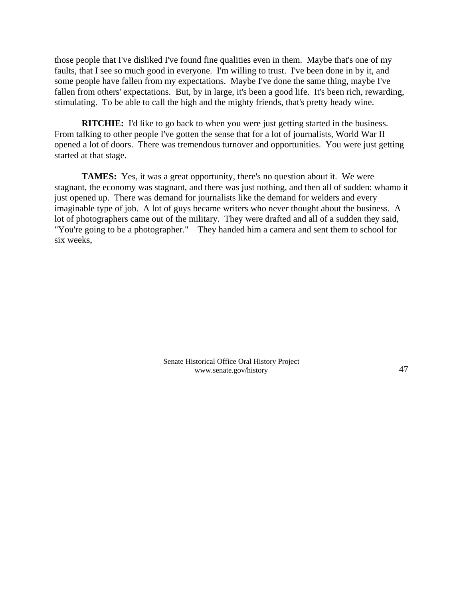those people that I've disliked I've found fine qualities even in them. Maybe that's one of my faults, that I see so much good in everyone. I'm willing to trust. I've been done in by it, and some people have fallen from my expectations. Maybe I've done the same thing, maybe I've fallen from others' expectations. But, by in large, it's been a good life. It's been rich, rewarding, stimulating. To be able to call the high and the mighty friends, that's pretty heady wine.

**RITCHIE:** I'd like to go back to when you were just getting started in the business. From talking to other people I've gotten the sense that for a lot of journalists, World War II opened a lot of doors. There was tremendous turnover and opportunities. You were just getting started at that stage.

**TAMES:** Yes, it was a great opportunity, there's no question about it. We were stagnant, the economy was stagnant, and there was just nothing, and then all of sudden: whamo it just opened up. There was demand for journalists like the demand for welders and every imaginable type of job. A lot of guys became writers who never thought about the business. A lot of photographers came out of the military. They were drafted and all of a sudden they said, "You're going to be a photographer." They handed him a camera and sent them to school for six weeks,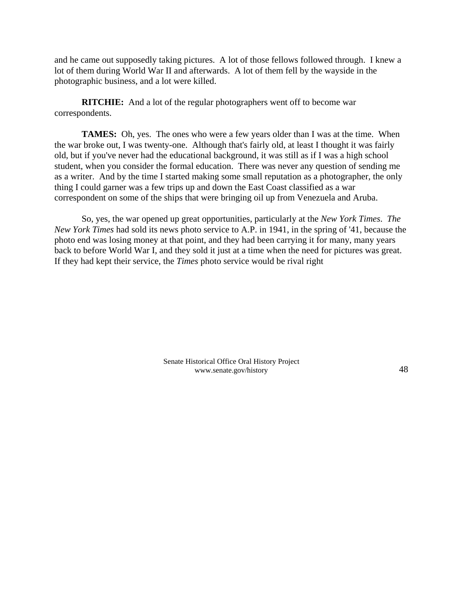and he came out supposedly taking pictures. A lot of those fellows followed through. I knew a lot of them during World War II and afterwards. A lot of them fell by the wayside in the photographic business, and a lot were killed.

**RITCHIE:** And a lot of the regular photographers went off to become war correspondents.

**TAMES:** Oh, yes. The ones who were a few years older than I was at the time. When the war broke out, I was twenty-one. Although that's fairly old, at least I thought it was fairly old, but if you've never had the educational background, it was still as if I was a high school student, when you consider the formal education. There was never any question of sending me as a writer. And by the time I started making some small reputation as a photographer, the only thing I could garner was a few trips up and down the East Coast classified as a war correspondent on some of the ships that were bringing oil up from Venezuela and Aruba.

So, yes, the war opened up great opportunities, particularly at the *New York Times*. *The New York Times* had sold its news photo service to A.P. in 1941, in the spring of '41, because the photo end was losing money at that point, and they had been carrying it for many, many years back to before World War I, and they sold it just at a time when the need for pictures was great. If they had kept their service, the *Times* photo service would be rival right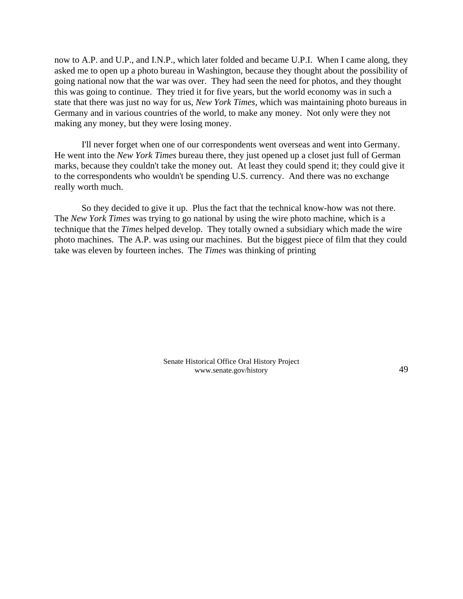now to A.P. and U.P., and I.N.P., which later folded and became U.P.I. When I came along, they asked me to open up a photo bureau in Washington, because they thought about the possibility of going national now that the war was over. They had seen the need for photos, and they thought this was going to continue. They tried it for five years, but the world economy was in such a state that there was just no way for us, *New York Times*, which was maintaining photo bureaus in Germany and in various countries of the world, to make any money. Not only were they not making any money, but they were losing money.

I'll never forget when one of our correspondents went overseas and went into Germany. He went into the *New York Times* bureau there, they just opened up a closet just full of German marks, because they couldn't take the money out. At least they could spend it; they could give it to the correspondents who wouldn't be spending U.S. currency. And there was no exchange really worth much.

So they decided to give it up. Plus the fact that the technical know-how was not there. The *New York Times* was trying to go national by using the wire photo machine, which is a technique that the *Times* helped develop. They totally owned a subsidiary which made the wire photo machines. The A.P. was using our machines. But the biggest piece of film that they could take was eleven by fourteen inches. The *Times* was thinking of printing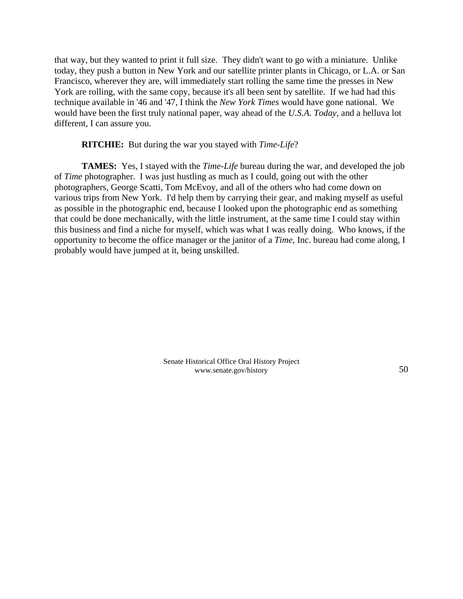that way, but they wanted to print it full size. They didn't want to go with a miniature. Unlike today, they push a button in New York and our satellite printer plants in Chicago, or L.A. or San Francisco, wherever they are, will immediately start rolling the same time the presses in New York are rolling, with the same copy, because it's all been sent by satellite. If we had had this technique available in '46 and '47, I think the *New York Times* would have gone national. We would have been the first truly national paper, way ahead of the *U.S.A. Today*, and a helluva lot different, I can assure you.

**RITCHIE:** But during the war you stayed with *Time-Life*?

**TAMES:** Yes, I stayed with the *Time-Life* bureau during the war, and developed the job of *Time* photographer. I was just hustling as much as I could, going out with the other photographers, George Scatti, Tom McEvoy, and all of the others who had come down on various trips from New York. I'd help them by carrying their gear, and making myself as useful as possible in the photographic end, because I looked upon the photographic end as something that could be done mechanically, with the little instrument, at the same time I could stay within this business and find a niche for myself, which was what I was really doing. Who knows, if the opportunity to become the office manager or the janitor of a *Time*, Inc. bureau had come along, I probably would have jumped at it, being unskilled.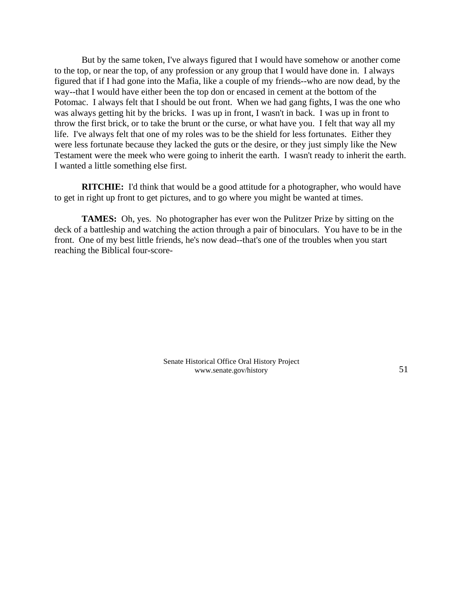But by the same token, I've always figured that I would have somehow or another come to the top, or near the top, of any profession or any group that I would have done in. I always figured that if I had gone into the Mafia, like a couple of my friends--who are now dead, by the way--that I would have either been the top don or encased in cement at the bottom of the Potomac. I always felt that I should be out front. When we had gang fights, I was the one who was always getting hit by the bricks. I was up in front, I wasn't in back. I was up in front to throw the first brick, or to take the brunt or the curse, or what have you. I felt that way all my life. I've always felt that one of my roles was to be the shield for less fortunates. Either they were less fortunate because they lacked the guts or the desire, or they just simply like the New Testament were the meek who were going to inherit the earth. I wasn't ready to inherit the earth. I wanted a little something else first.

**RITCHIE:** I'd think that would be a good attitude for a photographer, who would have to get in right up front to get pictures, and to go where you might be wanted at times.

**TAMES:** Oh, yes. No photographer has ever won the Pulitzer Prize by sitting on the deck of a battleship and watching the action through a pair of binoculars. You have to be in the front. One of my best little friends, he's now dead--that's one of the troubles when you start reaching the Biblical four-score-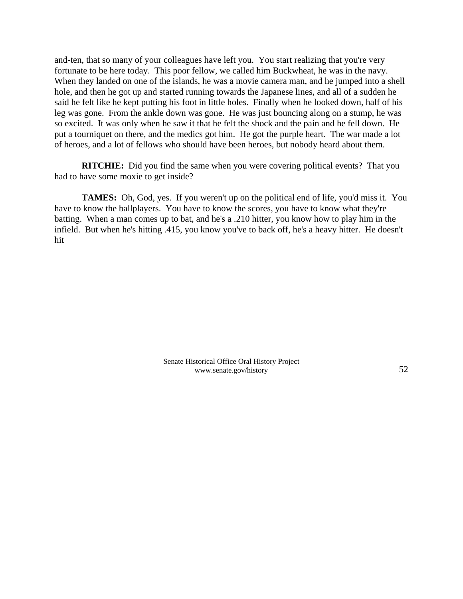and-ten, that so many of your colleagues have left you. You start realizing that you're very fortunate to be here today. This poor fellow, we called him Buckwheat, he was in the navy. When they landed on one of the islands, he was a movie camera man, and he jumped into a shell hole, and then he got up and started running towards the Japanese lines, and all of a sudden he said he felt like he kept putting his foot in little holes. Finally when he looked down, half of his leg was gone. From the ankle down was gone. He was just bouncing along on a stump, he was so excited. It was only when he saw it that he felt the shock and the pain and he fell down. He put a tourniquet on there, and the medics got him. He got the purple heart. The war made a lot of heroes, and a lot of fellows who should have been heroes, but nobody heard about them.

**RITCHIE:** Did you find the same when you were covering political events? That you had to have some moxie to get inside?

**TAMES:** Oh, God, yes. If you weren't up on the political end of life, you'd miss it. You have to know the ballplayers. You have to know the scores, you have to know what they're batting. When a man comes up to bat, and he's a .210 hitter, you know how to play him in the infield. But when he's hitting .415, you know you've to back off, he's a heavy hitter. He doesn't hit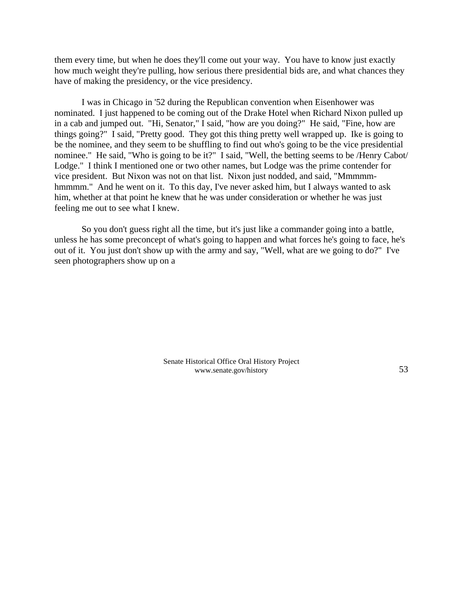them every time, but when he does they'll come out your way. You have to know just exactly how much weight they're pulling, how serious there presidential bids are, and what chances they have of making the presidency, or the vice presidency.

I was in Chicago in '52 during the Republican convention when Eisenhower was nominated. I just happened to be coming out of the Drake Hotel when Richard Nixon pulled up in a cab and jumped out. "Hi, Senator," I said, "how are you doing?" He said, "Fine, how are things going?" I said, "Pretty good. They got this thing pretty well wrapped up. Ike is going to be the nominee, and they seem to be shuffling to find out who's going to be the vice presidential nominee." He said, "Who is going to be it?" I said, "Well, the betting seems to be /Henry Cabot/ Lodge." I think I mentioned one or two other names, but Lodge was the prime contender for vice president. But Nixon was not on that list. Nixon just nodded, and said, "Mmmmmhmmmm." And he went on it. To this day, I've never asked him, but I always wanted to ask him, whether at that point he knew that he was under consideration or whether he was just feeling me out to see what I knew.

So you don't guess right all the time, but it's just like a commander going into a battle, unless he has some preconcept of what's going to happen and what forces he's going to face, he's out of it. You just don't show up with the army and say, "Well, what are we going to do?" I've seen photographers show up on a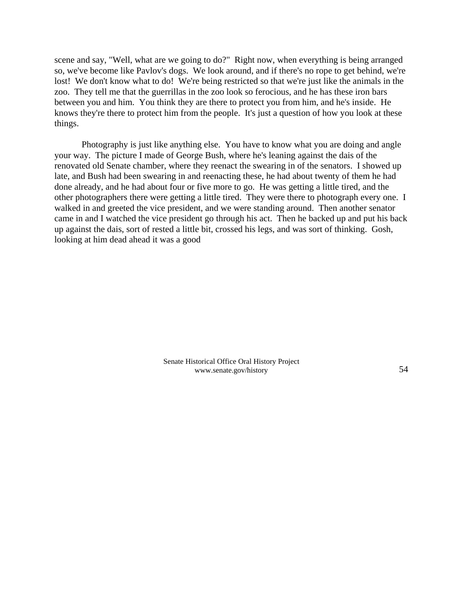scene and say, "Well, what are we going to do?" Right now, when everything is being arranged so, we've become like Pavlov's dogs. We look around, and if there's no rope to get behind, we're lost! We don't know what to do! We're being restricted so that we're just like the animals in the zoo. They tell me that the guerrillas in the zoo look so ferocious, and he has these iron bars between you and him. You think they are there to protect you from him, and he's inside. He knows they're there to protect him from the people. It's just a question of how you look at these things.

Photography is just like anything else. You have to know what you are doing and angle your way. The picture I made of George Bush, where he's leaning against the dais of the renovated old Senate chamber, where they reenact the swearing in of the senators. I showed up late, and Bush had been swearing in and reenacting these, he had about twenty of them he had done already, and he had about four or five more to go. He was getting a little tired, and the other photographers there were getting a little tired. They were there to photograph every one. I walked in and greeted the vice president, and we were standing around. Then another senator came in and I watched the vice president go through his act. Then he backed up and put his back up against the dais, sort of rested a little bit, crossed his legs, and was sort of thinking. Gosh, looking at him dead ahead it was a good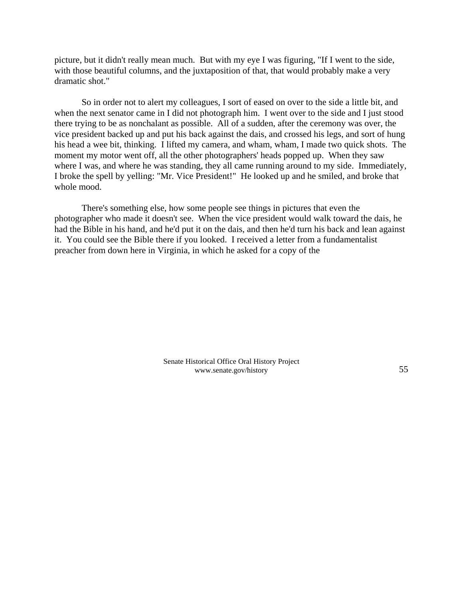picture, but it didn't really mean much. But with my eye I was figuring, "If I went to the side, with those beautiful columns, and the juxtaposition of that, that would probably make a very dramatic shot."

So in order not to alert my colleagues, I sort of eased on over to the side a little bit, and when the next senator came in I did not photograph him. I went over to the side and I just stood there trying to be as nonchalant as possible. All of a sudden, after the ceremony was over, the vice president backed up and put his back against the dais, and crossed his legs, and sort of hung his head a wee bit, thinking. I lifted my camera, and wham, wham, I made two quick shots. The moment my motor went off, all the other photographers' heads popped up. When they saw where I was, and where he was standing, they all came running around to my side. Immediately, I broke the spell by yelling: "Mr. Vice President!" He looked up and he smiled, and broke that whole mood.

There's something else, how some people see things in pictures that even the photographer who made it doesn't see. When the vice president would walk toward the dais, he had the Bible in his hand, and he'd put it on the dais, and then he'd turn his back and lean against it. You could see the Bible there if you looked. I received a letter from a fundamentalist preacher from down here in Virginia, in which he asked for a copy of the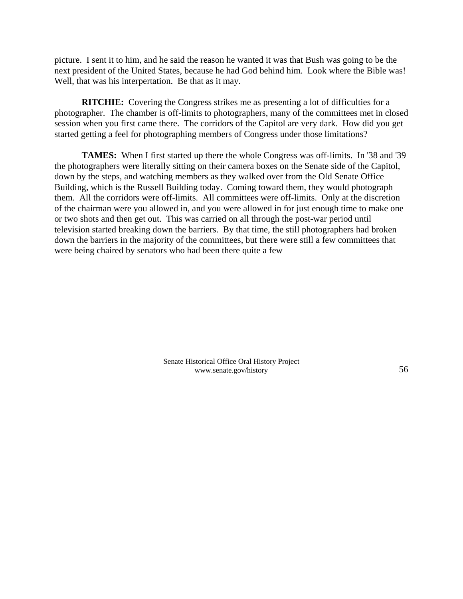picture. I sent it to him, and he said the reason he wanted it was that Bush was going to be the next president of the United States, because he had God behind him. Look where the Bible was! Well, that was his interpertation. Be that as it may.

**RITCHIE:** Covering the Congress strikes me as presenting a lot of difficulties for a photographer. The chamber is off-limits to photographers, many of the committees met in closed session when you first came there. The corridors of the Capitol are very dark. How did you get started getting a feel for photographing members of Congress under those limitations?

**TAMES:** When I first started up there the whole Congress was off-limits. In '38 and '39 the photographers were literally sitting on their camera boxes on the Senate side of the Capitol, down by the steps, and watching members as they walked over from the Old Senate Office Building, which is the Russell Building today. Coming toward them, they would photograph them. All the corridors were off-limits. All committees were off-limits. Only at the discretion of the chairman were you allowed in, and you were allowed in for just enough time to make one or two shots and then get out. This was carried on all through the post-war period until television started breaking down the barriers. By that time, the still photographers had broken down the barriers in the majority of the committees, but there were still a few committees that were being chaired by senators who had been there quite a few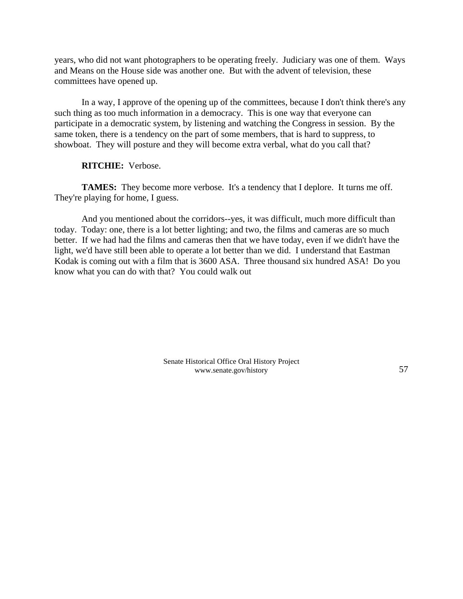years, who did not want photographers to be operating freely. Judiciary was one of them. Ways and Means on the House side was another one. But with the advent of television, these committees have opened up.

In a way, I approve of the opening up of the committees, because I don't think there's any such thing as too much information in a democracy. This is one way that everyone can participate in a democratic system, by listening and watching the Congress in session. By the same token, there is a tendency on the part of some members, that is hard to suppress, to showboat. They will posture and they will become extra verbal, what do you call that?

## **RITCHIE:** Verbose.

**TAMES:** They become more verbose. It's a tendency that I deplore. It turns me off. They're playing for home, I guess.

And you mentioned about the corridors--yes, it was difficult, much more difficult than today. Today: one, there is a lot better lighting; and two, the films and cameras are so much better. If we had had the films and cameras then that we have today, even if we didn't have the light, we'd have still been able to operate a lot better than we did. I understand that Eastman Kodak is coming out with a film that is 3600 ASA. Three thousand six hundred ASA! Do you know what you can do with that? You could walk out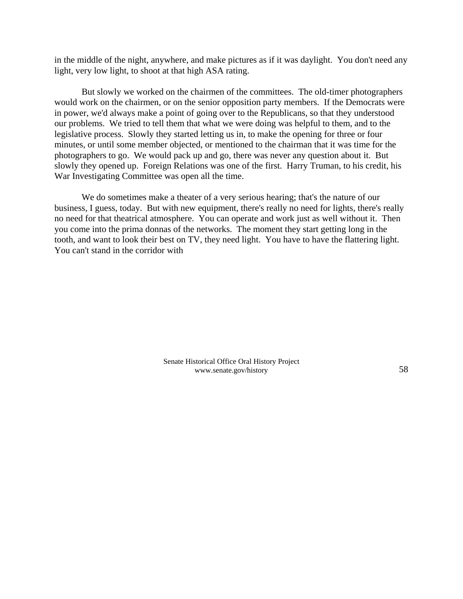in the middle of the night, anywhere, and make pictures as if it was daylight. You don't need any light, very low light, to shoot at that high ASA rating.

But slowly we worked on the chairmen of the committees. The old-timer photographers would work on the chairmen, or on the senior opposition party members. If the Democrats were in power, we'd always make a point of going over to the Republicans, so that they understood our problems. We tried to tell them that what we were doing was helpful to them, and to the legislative process. Slowly they started letting us in, to make the opening for three or four minutes, or until some member objected, or mentioned to the chairman that it was time for the photographers to go. We would pack up and go, there was never any question about it. But slowly they opened up. Foreign Relations was one of the first. Harry Truman, to his credit, his War Investigating Committee was open all the time.

We do sometimes make a theater of a very serious hearing; that's the nature of our business, I guess, today. But with new equipment, there's really no need for lights, there's really no need for that theatrical atmosphere. You can operate and work just as well without it. Then you come into the prima donnas of the networks. The moment they start getting long in the tooth, and want to look their best on TV, they need light. You have to have the flattering light. You can't stand in the corridor with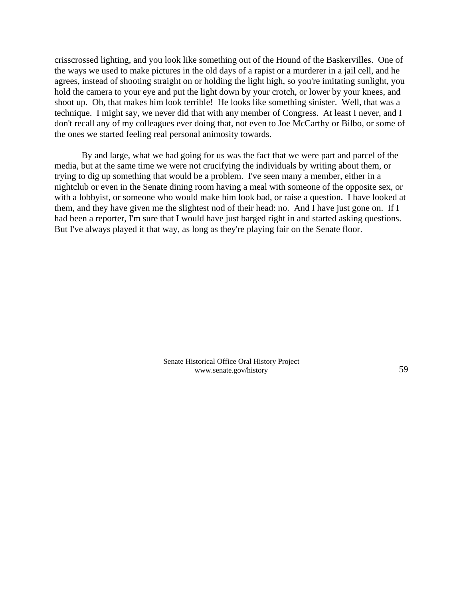crisscrossed lighting, and you look like something out of the Hound of the Baskervilles. One of the ways we used to make pictures in the old days of a rapist or a murderer in a jail cell, and he agrees, instead of shooting straight on or holding the light high, so you're imitating sunlight, you hold the camera to your eye and put the light down by your crotch, or lower by your knees, and shoot up. Oh, that makes him look terrible! He looks like something sinister. Well, that was a technique. I might say, we never did that with any member of Congress. At least I never, and I don't recall any of my colleagues ever doing that, not even to Joe McCarthy or Bilbo, or some of the ones we started feeling real personal animosity towards.

By and large, what we had going for us was the fact that we were part and parcel of the media, but at the same time we were not crucifying the individuals by writing about them, or trying to dig up something that would be a problem. I've seen many a member, either in a nightclub or even in the Senate dining room having a meal with someone of the opposite sex, or with a lobbyist, or someone who would make him look bad, or raise a question. I have looked at them, and they have given me the slightest nod of their head: no. And I have just gone on. If I had been a reporter, I'm sure that I would have just barged right in and started asking questions. But I've always played it that way, as long as they're playing fair on the Senate floor.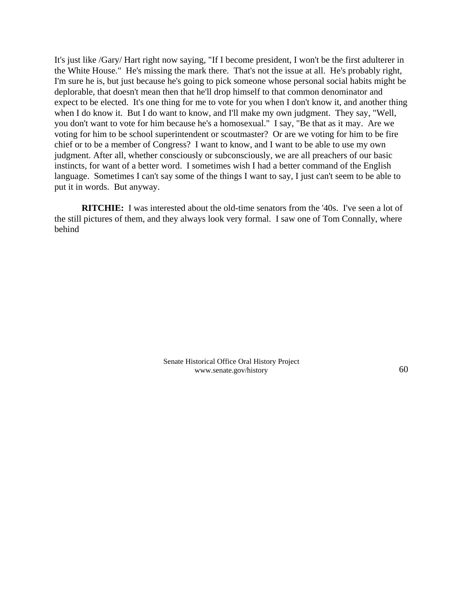It's just like /Gary/ Hart right now saying, "If I become president, I won't be the first adulterer in the White House." He's missing the mark there. That's not the issue at all. He's probably right, I'm sure he is, but just because he's going to pick someone whose personal social habits might be deplorable, that doesn't mean then that he'll drop himself to that common denominator and expect to be elected. It's one thing for me to vote for you when I don't know it, and another thing when I do know it. But I do want to know, and I'll make my own judgment. They say, "Well, you don't want to vote for him because he's a homosexual." I say, "Be that as it may. Are we voting for him to be school superintendent or scoutmaster? Or are we voting for him to be fire chief or to be a member of Congress? I want to know, and I want to be able to use my own judgment. After all, whether consciously or subconsciously, we are all preachers of our basic instincts, for want of a better word. I sometimes wish I had a better command of the English language. Sometimes I can't say some of the things I want to say, I just can't seem to be able to put it in words. But anyway.

**RITCHIE:** I was interested about the old-time senators from the '40s. I've seen a lot of the still pictures of them, and they always look very formal. I saw one of Tom Connally, where behind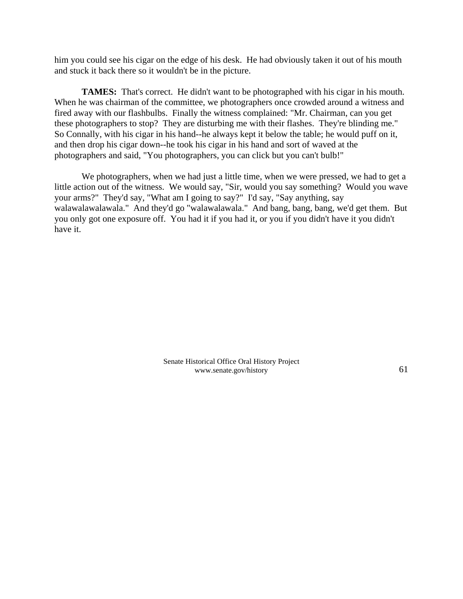him you could see his cigar on the edge of his desk. He had obviously taken it out of his mouth and stuck it back there so it wouldn't be in the picture.

**TAMES:** That's correct. He didn't want to be photographed with his cigar in his mouth. When he was chairman of the committee, we photographers once crowded around a witness and fired away with our flashbulbs. Finally the witness complained: "Mr. Chairman, can you get these photographers to stop? They are disturbing me with their flashes. They're blinding me." So Connally, with his cigar in his hand--he always kept it below the table; he would puff on it, and then drop his cigar down--he took his cigar in his hand and sort of waved at the photographers and said, "You photographers, you can click but you can't bulb!"

We photographers, when we had just a little time, when we were pressed, we had to get a little action out of the witness. We would say, "Sir, would you say something? Would you wave your arms?" They'd say, "What am I going to say?" I'd say, "Say anything, say walawalawalawala." And they'd go "walawalawala." And bang, bang, bang, we'd get them. But you only got one exposure off. You had it if you had it, or you if you didn't have it you didn't have it.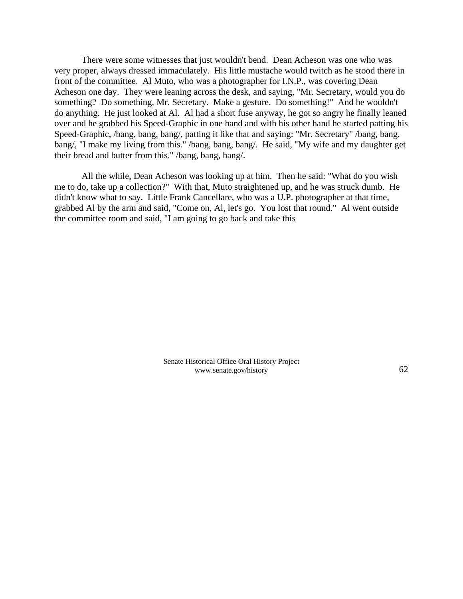There were some witnesses that just wouldn't bend. Dean Acheson was one who was very proper, always dressed immaculately. His little mustache would twitch as he stood there in front of the committee. Al Muto, who was a photographer for I.N.P., was covering Dean Acheson one day. They were leaning across the desk, and saying, "Mr. Secretary, would you do something? Do something, Mr. Secretary. Make a gesture. Do something!" And he wouldn't do anything. He just looked at Al. Al had a short fuse anyway, he got so angry he finally leaned over and he grabbed his Speed-Graphic in one hand and with his other hand he started patting his Speed-Graphic, /bang, bang, bang/, patting it like that and saying: "Mr. Secretary" /bang, bang, bang/, "I make my living from this." /bang, bang, bang/. He said, "My wife and my daughter get their bread and butter from this." /bang, bang, bang/.

All the while, Dean Acheson was looking up at him. Then he said: "What do you wish me to do, take up a collection?" With that, Muto straightened up, and he was struck dumb. He didn't know what to say. Little Frank Cancellare, who was a U.P. photographer at that time, grabbed Al by the arm and said, "Come on, Al, let's go. You lost that round." Al went outside the committee room and said, "I am going to go back and take this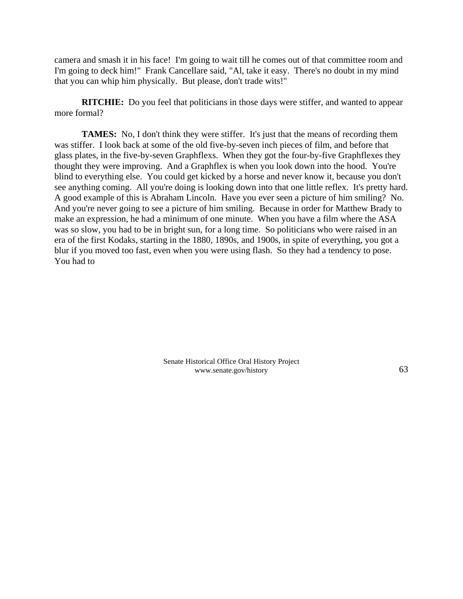camera and smash it in his face! I'm going to wait till he comes out of that committee room and I'm going to deck him!" Frank Cancellare said, "Al, take it easy. There's no doubt in my mind that you can whip him physically. But please, don't trade wits!"

**RITCHIE:** Do you feel that politicians in those days were stiffer, and wanted to appear more formal?

**TAMES:** No, I don't think they were stiffer. It's just that the means of recording them was stiffer. I look back at some of the old five-by-seven inch pieces of film, and before that glass plates, in the five-by-seven Graphflexs. When they got the four-by-five Graphflexes they thought they were improving. And a Graphflex is when you look down into the hood. You're blind to everything else. You could get kicked by a horse and never know it, because you don't see anything coming. All you're doing is looking down into that one little reflex. It's pretty hard. A good example of this is Abraham Lincoln. Have you ever seen a picture of him smiling? No. And you're never going to see a picture of him smiling. Because in order for Matthew Brady to make an expression, he had a minimum of one minute. When you have a film where the ASA was so slow, you had to be in bright sun, for a long time. So politicians who were raised in an era of the first Kodaks, starting in the 1880, 1890s, and 1900s, in spite of everything, you got a blur if you moved too fast, even when you were using flash. So they had a tendency to pose. You had to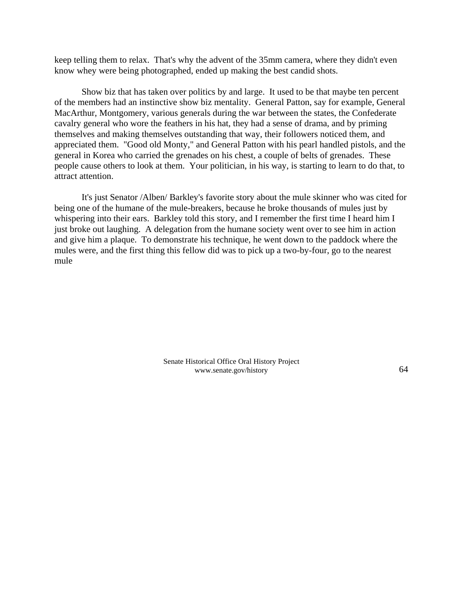keep telling them to relax. That's why the advent of the 35mm camera, where they didn't even know whey were being photographed, ended up making the best candid shots.

Show biz that has taken over politics by and large. It used to be that maybe ten percent of the members had an instinctive show biz mentality. General Patton, say for example, General MacArthur, Montgomery, various generals during the war between the states, the Confederate cavalry general who wore the feathers in his hat, they had a sense of drama, and by priming themselves and making themselves outstanding that way, their followers noticed them, and appreciated them. "Good old Monty," and General Patton with his pearl handled pistols, and the general in Korea who carried the grenades on his chest, a couple of belts of grenades. These people cause others to look at them. Your politician, in his way, is starting to learn to do that, to attract attention.

It's just Senator /Alben/ Barkley's favorite story about the mule skinner who was cited for being one of the humane of the mule-breakers, because he broke thousands of mules just by whispering into their ears. Barkley told this story, and I remember the first time I heard him I just broke out laughing. A delegation from the humane society went over to see him in action and give him a plaque. To demonstrate his technique, he went down to the paddock where the mules were, and the first thing this fellow did was to pick up a two-by-four, go to the nearest mule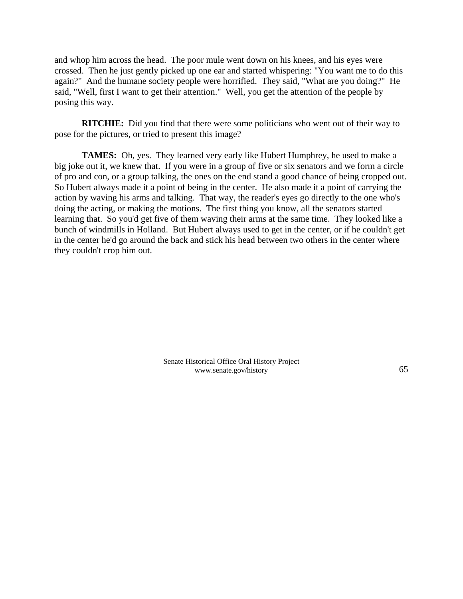and whop him across the head. The poor mule went down on his knees, and his eyes were crossed. Then he just gently picked up one ear and started whispering: "You want me to do this again?" And the humane society people were horrified. They said, "What are you doing?" He said, "Well, first I want to get their attention." Well, you get the attention of the people by posing this way.

**RITCHIE:** Did you find that there were some politicians who went out of their way to pose for the pictures, or tried to present this image?

**TAMES:** Oh, yes. They learned very early like Hubert Humphrey, he used to make a big joke out it, we knew that. If you were in a group of five or six senators and we form a circle of pro and con, or a group talking, the ones on the end stand a good chance of being cropped out. So Hubert always made it a point of being in the center. He also made it a point of carrying the action by waving his arms and talking. That way, the reader's eyes go directly to the one who's doing the acting, or making the motions. The first thing you know, all the senators started learning that. So you'd get five of them waving their arms at the same time. They looked like a bunch of windmills in Holland. But Hubert always used to get in the center, or if he couldn't get in the center he'd go around the back and stick his head between two others in the center where they couldn't crop him out.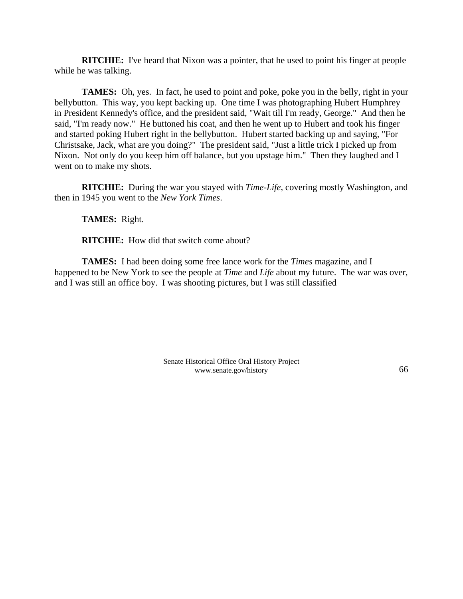**RITCHIE:** I've heard that Nixon was a pointer, that he used to point his finger at people while he was talking.

**TAMES:** Oh, yes. In fact, he used to point and poke, poke you in the belly, right in your bellybutton. This way, you kept backing up. One time I was photographing Hubert Humphrey in President Kennedy's office, and the president said, "Wait till I'm ready, George." And then he said, "I'm ready now." He buttoned his coat, and then he went up to Hubert and took his finger and started poking Hubert right in the bellybutton. Hubert started backing up and saying, "For Christsake, Jack, what are you doing?" The president said, "Just a little trick I picked up from Nixon. Not only do you keep him off balance, but you upstage him." Then they laughed and I went on to make my shots.

**RITCHIE:** During the war you stayed with *Time-Life,* covering mostly Washington, and then in 1945 you went to the *New York Times*.

**TAMES:** Right.

**RITCHIE:** How did that switch come about?

**TAMES:** I had been doing some free lance work for the *Times* magazine, and I happened to be New York to see the people at *Time* and *Life* about my future. The war was over, and I was still an office boy. I was shooting pictures, but I was still classified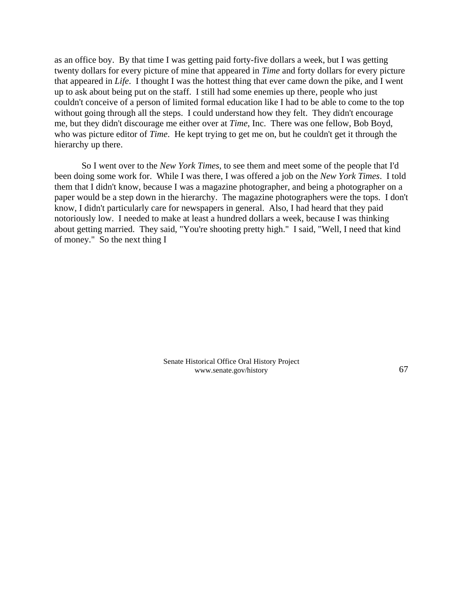as an office boy. By that time I was getting paid forty-five dollars a week, but I was getting twenty dollars for every picture of mine that appeared in *Time* and forty dollars for every picture that appeared in *Life*. I thought I was the hottest thing that ever came down the pike, and I went up to ask about being put on the staff. I still had some enemies up there, people who just couldn't conceive of a person of limited formal education like I had to be able to come to the top without going through all the steps. I could understand how they felt. They didn't encourage me, but they didn't discourage me either over at *Time*, Inc. There was one fellow, Bob Boyd, who was picture editor of *Time*. He kept trying to get me on, but he couldn't get it through the hierarchy up there.

So I went over to the *New York Times*, to see them and meet some of the people that I'd been doing some work for. While I was there, I was offered a job on the *New York Times*. I told them that I didn't know, because I was a magazine photographer, and being a photographer on a paper would be a step down in the hierarchy. The magazine photographers were the tops. I don't know, I didn't particularly care for newspapers in general. Also, I had heard that they paid notoriously low. I needed to make at least a hundred dollars a week, because I was thinking about getting married. They said, "You're shooting pretty high." I said, "Well, I need that kind of money." So the next thing I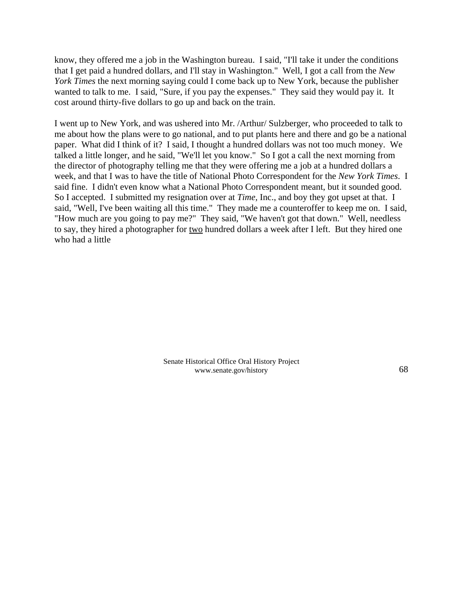know, they offered me a job in the Washington bureau. I said, "I'll take it under the conditions that I get paid a hundred dollars, and I'll stay in Washington." Well, I got a call from the *New York Times* the next morning saying could I come back up to New York, because the publisher wanted to talk to me. I said, "Sure, if you pay the expenses." They said they would pay it. It cost around thirty-five dollars to go up and back on the train.

I went up to New York, and was ushered into Mr. /Arthur/ Sulzberger, who proceeded to talk to me about how the plans were to go national, and to put plants here and there and go be a national paper. What did I think of it? I said, I thought a hundred dollars was not too much money. We talked a little longer, and he said, "We'll let you know." So I got a call the next morning from the director of photography telling me that they were offering me a job at a hundred dollars a week, and that I was to have the title of National Photo Correspondent for the *New York Times*. I said fine. I didn't even know what a National Photo Correspondent meant, but it sounded good. So I accepted. I submitted my resignation over at *Time,* Inc., and boy they got upset at that. I said, "Well, I've been waiting all this time." They made me a counteroffer to keep me on. I said, "How much are you going to pay me?" They said, "We haven't got that down." Well, needless to say, they hired a photographer for two hundred dollars a week after I left. But they hired one who had a little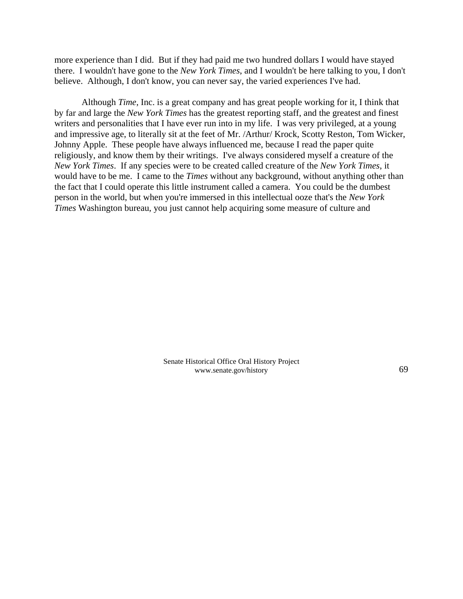more experience than I did. But if they had paid me two hundred dollars I would have stayed there. I wouldn't have gone to the *New York Times*, and I wouldn't be here talking to you, I don't believe. Although, I don't know, you can never say, the varied experiences I've had.

Although *Time*, Inc. is a great company and has great people working for it, I think that by far and large the *New York Times* has the greatest reporting staff, and the greatest and finest writers and personalities that I have ever run into in my life. I was very privileged, at a young and impressive age, to literally sit at the feet of Mr. /Arthur/ Krock, Scotty Reston, Tom Wicker, Johnny Apple. These people have always influenced me, because I read the paper quite religiously, and know them by their writings. I've always considered myself a creature of the *New York Times*. If any species were to be created called creature of the *New York Times*, it would have to be me. I came to the *Times* without any background, without anything other than the fact that I could operate this little instrument called a camera. You could be the dumbest person in the world, but when you're immersed in this intellectual ooze that's the *New York Times* Washington bureau, you just cannot help acquiring some measure of culture and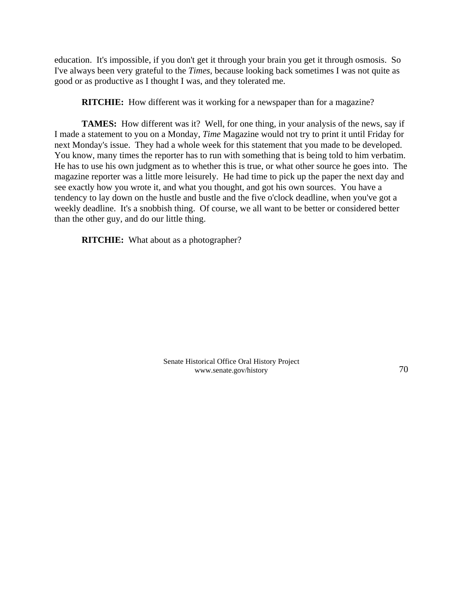education. It's impossible, if you don't get it through your brain you get it through osmosis. So I've always been very grateful to the *Times*, because looking back sometimes I was not quite as good or as productive as I thought I was, and they tolerated me.

**RITCHIE:** How different was it working for a newspaper than for a magazine?

**TAMES:** How different was it? Well, for one thing, in your analysis of the news, say if I made a statement to you on a Monday, *Time* Magazine would not try to print it until Friday for next Monday's issue. They had a whole week for this statement that you made to be developed. You know, many times the reporter has to run with something that is being told to him verbatim. He has to use his own judgment as to whether this is true, or what other source he goes into. The magazine reporter was a little more leisurely. He had time to pick up the paper the next day and see exactly how you wrote it, and what you thought, and got his own sources. You have a tendency to lay down on the hustle and bustle and the five o'clock deadline, when you've got a weekly deadline. It's a snobbish thing. Of course, we all want to be better or considered better than the other guy, and do our little thing.

**RITCHIE:** What about as a photographer?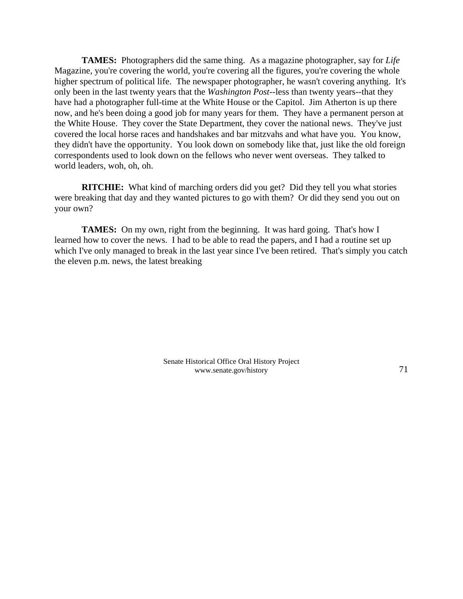**TAMES:** Photographers did the same thing. As a magazine photographer, say for *Life* Magazine, you're covering the world, you're covering all the figures, you're covering the whole higher spectrum of political life. The newspaper photographer, he wasn't covering anything. It's only been in the last twenty years that the *Washington Post*--less than twenty years--that they have had a photographer full-time at the White House or the Capitol. Jim Atherton is up there now, and he's been doing a good job for many years for them. They have a permanent person at the White House. They cover the State Department, they cover the national news. They've just covered the local horse races and handshakes and bar mitzvahs and what have you. You know, they didn't have the opportunity. You look down on somebody like that, just like the old foreign correspondents used to look down on the fellows who never went overseas. They talked to world leaders, woh, oh, oh.

**RITCHIE:** What kind of marching orders did you get? Did they tell you what stories were breaking that day and they wanted pictures to go with them? Or did they send you out on your own?

**TAMES:** On my own, right from the beginning. It was hard going. That's how I learned how to cover the news. I had to be able to read the papers, and I had a routine set up which I've only managed to break in the last year since I've been retired. That's simply you catch the eleven p.m. news, the latest breaking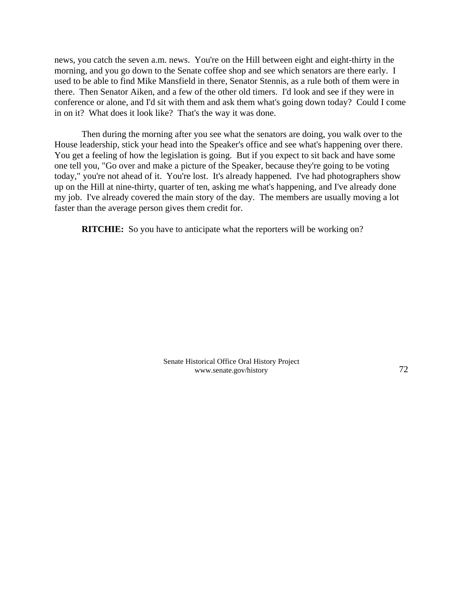news, you catch the seven a.m. news. You're on the Hill between eight and eight-thirty in the morning, and you go down to the Senate coffee shop and see which senators are there early. I used to be able to find Mike Mansfield in there, Senator Stennis, as a rule both of them were in there. Then Senator Aiken, and a few of the other old timers. I'd look and see if they were in conference or alone, and I'd sit with them and ask them what's going down today? Could I come in on it? What does it look like? That's the way it was done.

Then during the morning after you see what the senators are doing, you walk over to the House leadership, stick your head into the Speaker's office and see what's happening over there. You get a feeling of how the legislation is going. But if you expect to sit back and have some one tell you, "Go over and make a picture of the Speaker, because they're going to be voting today," you're not ahead of it. You're lost. It's already happened. I've had photographers show up on the Hill at nine-thirty, quarter of ten, asking me what's happening, and I've already done my job. I've already covered the main story of the day. The members are usually moving a lot faster than the average person gives them credit for.

**RITCHIE:** So you have to anticipate what the reporters will be working on?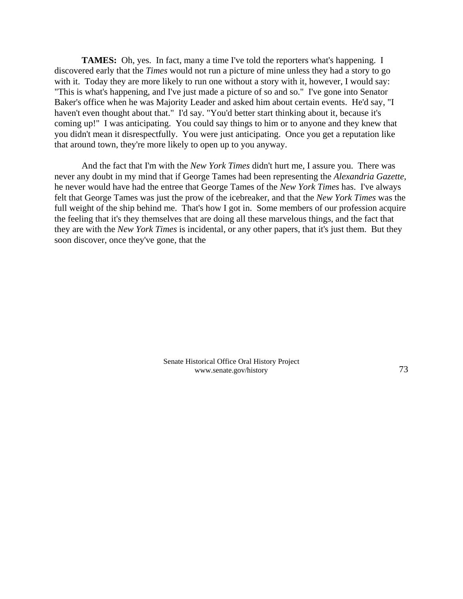**TAMES:** Oh, yes. In fact, many a time I've told the reporters what's happening. I discovered early that the *Times* would not run a picture of mine unless they had a story to go with it. Today they are more likely to run one without a story with it, however, I would say: "This is what's happening, and I've just made a picture of so and so." I've gone into Senator Baker's office when he was Majority Leader and asked him about certain events. He'd say, "I haven't even thought about that." I'd say. "You'd better start thinking about it, because it's coming up!" I was anticipating. You could say things to him or to anyone and they knew that you didn't mean it disrespectfully. You were just anticipating. Once you get a reputation like that around town, they're more likely to open up to you anyway.

And the fact that I'm with the *New York Times* didn't hurt me, I assure you. There was never any doubt in my mind that if George Tames had been representing the *Alexandria Gazette*, he never would have had the entree that George Tames of the *New York Times* has. I've always felt that George Tames was just the prow of the icebreaker, and that the *New York Times* was the full weight of the ship behind me. That's how I got in. Some members of our profession acquire the feeling that it's they themselves that are doing all these marvelous things, and the fact that they are with the *New York Times* is incidental, or any other papers, that it's just them. But they soon discover, once they've gone, that the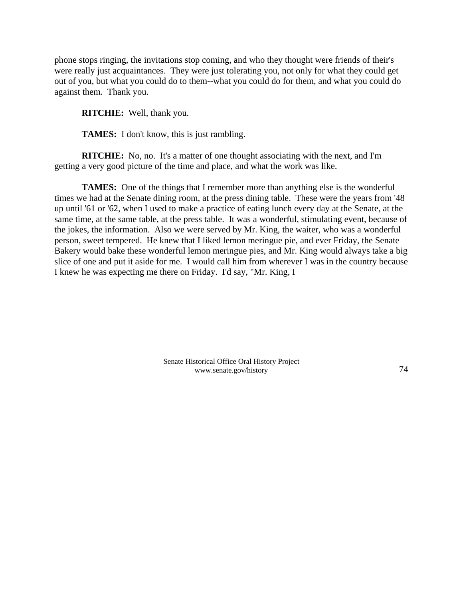phone stops ringing, the invitations stop coming, and who they thought were friends of their's were really just acquaintances. They were just tolerating you, not only for what they could get out of you, but what you could do to them--what you could do for them, and what you could do against them. Thank you.

**RITCHIE:** Well, thank you.

**TAMES:** I don't know, this is just rambling.

**RITCHIE:** No, no. It's a matter of one thought associating with the next, and I'm getting a very good picture of the time and place, and what the work was like.

**TAMES:** One of the things that I remember more than anything else is the wonderful times we had at the Senate dining room, at the press dining table. These were the years from '48 up until '61 or '62, when I used to make a practice of eating lunch every day at the Senate, at the same time, at the same table, at the press table. It was a wonderful, stimulating event, because of the jokes, the information. Also we were served by Mr. King, the waiter, who was a wonderful person, sweet tempered. He knew that I liked lemon meringue pie, and ever Friday, the Senate Bakery would bake these wonderful lemon meringue pies, and Mr. King would always take a big slice of one and put it aside for me. I would call him from wherever I was in the country because I knew he was expecting me there on Friday. I'd say, "Mr. King, I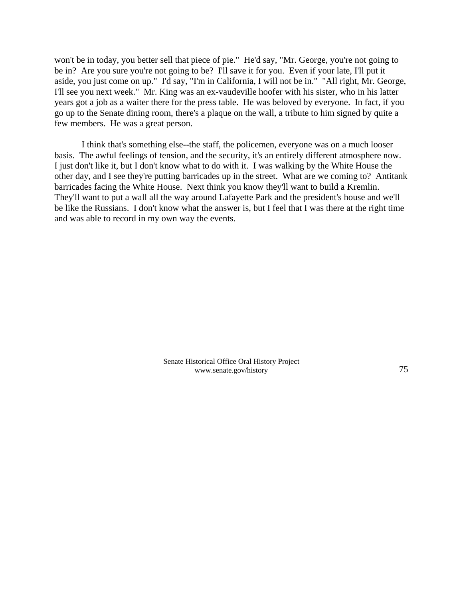won't be in today, you better sell that piece of pie." He'd say, "Mr. George, you're not going to be in? Are you sure you're not going to be? I'll save it for you. Even if your late, I'll put it aside, you just come on up." I'd say, "I'm in California, I will not be in." "All right, Mr. George, I'll see you next week." Mr. King was an ex-vaudeville hoofer with his sister, who in his latter years got a job as a waiter there for the press table. He was beloved by everyone. In fact, if you go up to the Senate dining room, there's a plaque on the wall, a tribute to him signed by quite a few members. He was a great person.

I think that's something else--the staff, the policemen, everyone was on a much looser basis. The awful feelings of tension, and the security, it's an entirely different atmosphere now. I just don't like it, but I don't know what to do with it. I was walking by the White House the other day, and I see they're putting barricades up in the street. What are we coming to? Antitank barricades facing the White House. Next think you know they'll want to build a Kremlin. They'll want to put a wall all the way around Lafayette Park and the president's house and we'll be like the Russians. I don't know what the answer is, but I feel that I was there at the right time and was able to record in my own way the events.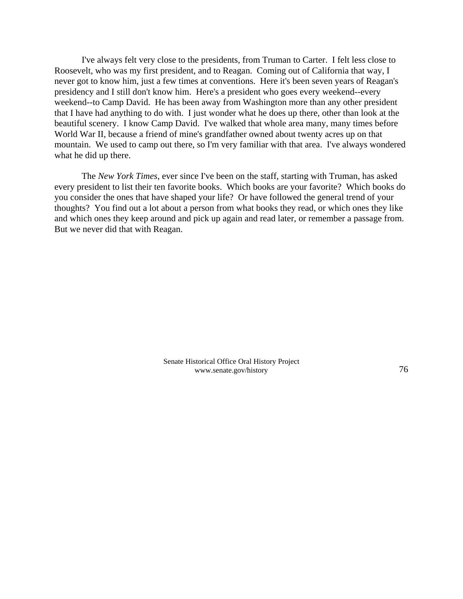I've always felt very close to the presidents, from Truman to Carter. I felt less close to Roosevelt, who was my first president, and to Reagan. Coming out of California that way, I never got to know him, just a few times at conventions. Here it's been seven years of Reagan's presidency and I still don't know him. Here's a president who goes every weekend--every weekend--to Camp David. He has been away from Washington more than any other president that I have had anything to do with. I just wonder what he does up there, other than look at the beautiful scenery. I know Camp David. I've walked that whole area many, many times before World War II, because a friend of mine's grandfather owned about twenty acres up on that mountain. We used to camp out there, so I'm very familiar with that area. I've always wondered what he did up there.

The *New York Times*, ever since I've been on the staff, starting with Truman, has asked every president to list their ten favorite books. Which books are your favorite? Which books do you consider the ones that have shaped your life? Or have followed the general trend of your thoughts? You find out a lot about a person from what books they read, or which ones they like and which ones they keep around and pick up again and read later, or remember a passage from. But we never did that with Reagan.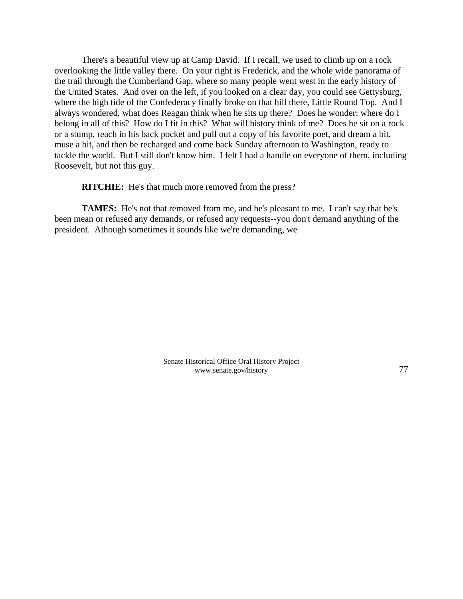There's a beautiful view up at Camp David. If I recall, we used to climb up on a rock overlooking the little valley there. On your right is Frederick, and the whole wide panorama of the trail through the Cumberland Gap, where so many people went west in the early history of the United States. And over on the left, if you looked on a clear day, you could see Gettysburg, where the high tide of the Confederacy finally broke on that hill there, Little Round Top. And I always wondered, what does Reagan think when he sits up there? Does he wonder: where do I belong in all of this? How do I fit in this? What will history think of me? Does he sit on a rock or a stump, reach in his back pocket and pull out a copy of his favorite poet, and dream a bit, muse a bit, and then be recharged and come back Sunday afternoon to Washington, ready to tackle the world. But I still don't know him. I felt I had a handle on everyone of them, including Roosevelt, but not this guy.

**RITCHIE:** He's that much more removed from the press?

**TAMES:** He's not that removed from me, and he's pleasant to me. I can't say that he's been mean or refused any demands, or refused any requests--you don't demand anything of the president. Athough sometimes it sounds like we're demanding, we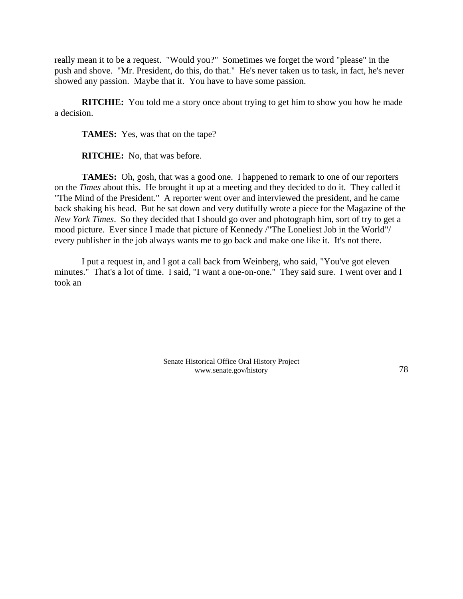really mean it to be a request. "Would you?" Sometimes we forget the word "please" in the push and shove. "Mr. President, do this, do that." He's never taken us to task, in fact, he's never showed any passion. Maybe that it. You have to have some passion.

**RITCHIE:** You told me a story once about trying to get him to show you how he made a decision.

**TAMES:** Yes, was that on the tape?

**RITCHIE:** No, that was before.

**TAMES:** Oh, gosh, that was a good one. I happened to remark to one of our reporters on the *Times* about this. He brought it up at a meeting and they decided to do it. They called it "The Mind of the President." A reporter went over and interviewed the president, and he came back shaking his head. But he sat down and very dutifully wrote a piece for the Magazine of the *New York Times*. So they decided that I should go over and photograph him, sort of try to get a mood picture. Ever since I made that picture of Kennedy /"The Loneliest Job in the World"/ every publisher in the job always wants me to go back and make one like it. It's not there.

I put a request in, and I got a call back from Weinberg, who said, "You've got eleven minutes." That's a lot of time. I said, "I want a one-on-one." They said sure. I went over and I took an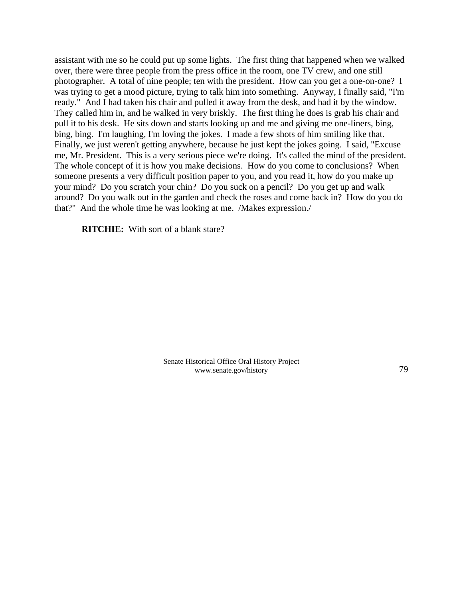assistant with me so he could put up some lights. The first thing that happened when we walked over, there were three people from the press office in the room, one TV crew, and one still photographer. A total of nine people; ten with the president. How can you get a one-on-one? I was trying to get a mood picture, trying to talk him into something. Anyway, I finally said, "I'm ready." And I had taken his chair and pulled it away from the desk, and had it by the window. They called him in, and he walked in very briskly. The first thing he does is grab his chair and pull it to his desk. He sits down and starts looking up and me and giving me one-liners, bing, bing, bing. I'm laughing, I'm loving the jokes. I made a few shots of him smiling like that. Finally, we just weren't getting anywhere, because he just kept the jokes going. I said, "Excuse me, Mr. President. This is a very serious piece we're doing. It's called the mind of the president. The whole concept of it is how you make decisions. How do you come to conclusions? When someone presents a very difficult position paper to you, and you read it, how do you make up your mind? Do you scratch your chin? Do you suck on a pencil? Do you get up and walk around? Do you walk out in the garden and check the roses and come back in? How do you do that?" And the whole time he was looking at me. /Makes expression./

**RITCHIE:** With sort of a blank stare?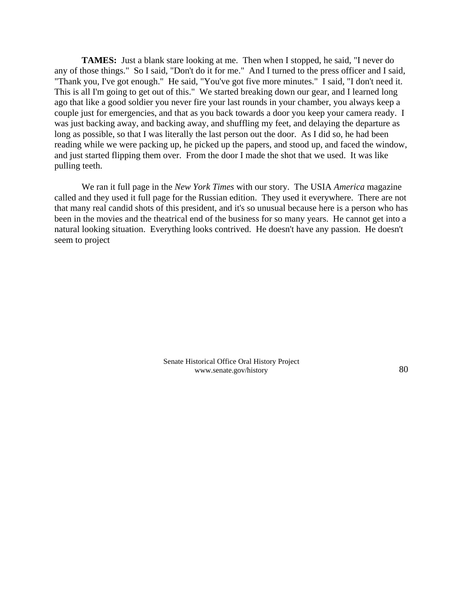**TAMES:** Just a blank stare looking at me. Then when I stopped, he said, "I never do any of those things." So I said, "Don't do it for me." And I turned to the press officer and I said, "Thank you, I've got enough." He said, "You've got five more minutes." I said, "I don't need it. This is all I'm going to get out of this." We started breaking down our gear, and I learned long ago that like a good soldier you never fire your last rounds in your chamber, you always keep a couple just for emergencies, and that as you back towards a door you keep your camera ready. I was just backing away, and backing away, and shuffling my feet, and delaying the departure as long as possible, so that I was literally the last person out the door. As I did so, he had been reading while we were packing up, he picked up the papers, and stood up, and faced the window, and just started flipping them over. From the door I made the shot that we used. It was like pulling teeth.

We ran it full page in the *New York Times* with our story. The USIA *America* magazine called and they used it full page for the Russian edition. They used it everywhere. There are not that many real candid shots of this president, and it's so unusual because here is a person who has been in the movies and the theatrical end of the business for so many years. He cannot get into a natural looking situation. Everything looks contrived. He doesn't have any passion. He doesn't seem to project